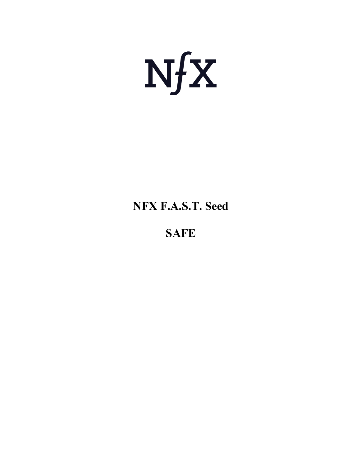

# **NFX F.A.S.T. Seed**

**SAFE**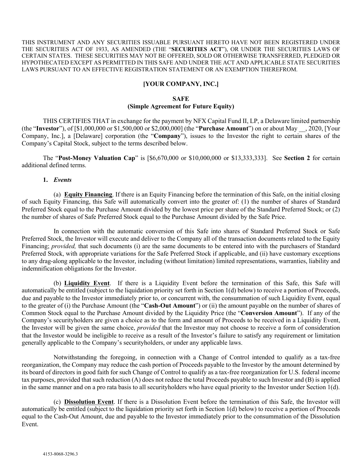THIS INSTRUMENT AND ANY SECURITIES ISSUABLE PURSUANT HERETO HAVE NOT BEEN REGISTERED UNDER THE SECURITIES ACT OF 1933, AS AMENDED (THE "**SECURITIES ACT**"), OR UNDER THE SECURITIES LAWS OF CERTAIN STATES. THESE SECURITIES MAY NOT BE OFFERED, SOLD OR OTHERWISE TRANSFERRED, PLEDGED OR HYPOTHECATED EXCEPT AS PERMITTED IN THIS SAFE AND UNDER THE ACT AND APPLICABLE STATE SECURITIES LAWS PURSUANT TO AN EFFECTIVE REGISTRATION STATEMENT OR AN EXEMPTION THEREFROM.

#### **[YOUR COMPANY, INC.]**

### **SAFE (Simple Agreement for Future Equity)**

THIS CERTIFIES THAT in exchange for the payment by NFX Capital Fund II, LP, a Delaware limited partnership (the "**Investor**"), of [\$1,000,000 or \$1,500,000 or \$2,000,000] (the "**Purchase Amount**") on or about May \_\_, 2020, [Your Company, Inc.], a [Delaware] corporation (the "**Company**"), issues to the Investor the right to certain shares of the Company's Capital Stock, subject to the terms described below.

The "**Post-Money Valuation Cap**" is [\$6,670,000 or \$10,000,000 or \$13,333,333]. See **Section 2** for certain additional defined terms.

# **1.** *Events*

(a) **Equity Financing**. If there is an Equity Financing before the termination of this Safe, on the initial closing of such Equity Financing, this Safe will automatically convert into the greater of: (1) the number of shares of Standard Preferred Stock equal to the Purchase Amount divided by the lowest price per share of the Standard Preferred Stock; or (2) the number of shares of Safe Preferred Stock equal to the Purchase Amount divided by the Safe Price.

In connection with the automatic conversion of this Safe into shares of Standard Preferred Stock or Safe Preferred Stock, the Investor will execute and deliver to the Company all of the transaction documents related to the Equity Financing; *provided,* that such documents (i) are the same documents to be entered into with the purchasers of Standard Preferred Stock, with appropriate variations for the Safe Preferred Stock if applicable, and (ii) have customary exceptions to any drag-along applicable to the Investor, including (without limitation) limited representations, warranties, liability and indemnification obligations for the Investor.

(b) **Liquidity Event**. If there is a Liquidity Event before the termination of this Safe, this Safe will automatically be entitled (subject to the liquidation priority set forth in Section 1(d) below) to receive a portion of Proceeds, due and payable to the Investor immediately prior to, or concurrent with, the consummation of such Liquidity Event, equal to the greater of (i) the Purchase Amount (the "**Cash-Out Amount**") or (ii) the amount payable on the number of shares of Common Stock equal to the Purchase Amount divided by the Liquidity Price (the "**Conversion Amount**"). If any of the Company's securityholders are given a choice as to the form and amount of Proceeds to be received in a Liquidity Event, the Investor will be given the same choice, *provided* that the Investor may not choose to receive a form of consideration that the Investor would be ineligible to receive as a result of the Investor's failure to satisfy any requirement or limitation generally applicable to the Company's securityholders, or under any applicable laws.

Notwithstanding the foregoing, in connection with a Change of Control intended to qualify as a tax-free reorganization, the Company may reduce the cash portion of Proceeds payable to the Investor by the amount determined by its board of directors in good faith for such Change of Control to qualify as a tax-free reorganization for U.S. federal income tax purposes, provided that such reduction (A) does not reduce the total Proceeds payable to such Investor and (B) is applied in the same manner and on a pro rata basis to all securityholders who have equal priority to the Investor under Section 1(d).

(c) **Dissolution Event**. If there is a Dissolution Event before the termination of this Safe, the Investor will automatically be entitled (subject to the liquidation priority set forth in Section 1(d) below) to receive a portion of Proceeds equal to the Cash-Out Amount, due and payable to the Investor immediately prior to the consummation of the Dissolution Event.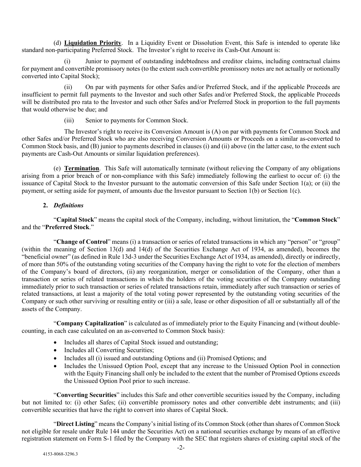(d) **Liquidation Priority**. In a Liquidity Event or Dissolution Event, this Safe is intended to operate like standard non-participating Preferred Stock. The Investor's right to receive its Cash-Out Amount is:

Junior to payment of outstanding indebtedness and creditor claims, including contractual claims for payment and convertible promissory notes (to the extent such convertible promissory notes are not actually or notionally converted into Capital Stock);

(ii) On par with payments for other Safes and/or Preferred Stock, and if the applicable Proceeds are insufficient to permit full payments to the Investor and such other Safes and/or Preferred Stock, the applicable Proceeds will be distributed pro rata to the Investor and such other Safes and/or Preferred Stock in proportion to the full payments that would otherwise be due; and

(iii) Senior to payments for Common Stock.

The Investor's right to receive its Conversion Amount is (A) on par with payments for Common Stock and other Safes and/or Preferred Stock who are also receiving Conversion Amounts or Proceeds on a similar as-converted to Common Stock basis, and (B) junior to payments described in clauses (i) and (ii) above (in the latter case, to the extent such payments are Cash-Out Amounts or similar liquidation preferences).

(e) **Termination**. This Safe will automatically terminate (without relieving the Company of any obligations arising from a prior breach of or non-compliance with this Safe) immediately following the earliest to occur of: (i) the issuance of Capital Stock to the Investor pursuant to the automatic conversion of this Safe under Section 1(a); or (ii) the payment, or setting aside for payment, of amounts due the Investor pursuant to Section 1(b) or Section 1(c).

# **2.** *Definitions*

"**Capital Stock**" means the capital stock of the Company, including, without limitation, the "**Common Stock**" and the "**Preferred Stock**."

"**Change of Control**" means (i) a transaction or series of related transactions in which any "person" or "group" (within the meaning of Section 13(d) and 14(d) of the Securities Exchange Act of 1934, as amended), becomes the "beneficial owner" (as defined in Rule 13d-3 under the Securities Exchange Act of 1934, as amended), directly or indirectly, of more than 50% of the outstanding voting securities of the Company having the right to vote for the election of members of the Company's board of directors, (ii) any reorganization, merger or consolidation of the Company, other than a transaction or series of related transactions in which the holders of the voting securities of the Company outstanding immediately prior to such transaction or series of related transactions retain, immediately after such transaction or series of related transactions, at least a majority of the total voting power represented by the outstanding voting securities of the Company or such other surviving or resulting entity or (iii) a sale, lease or other disposition of all or substantially all of the assets of the Company.

"**Company Capitalization**" is calculated as of immediately prior to the Equity Financing and (without doublecounting, in each case calculated on an as-converted to Common Stock basis):

- Includes all shares of Capital Stock issued and outstanding;
- Includes all Converting Securities;
- Includes all (i) issued and outstanding Options and (ii) Promised Options; and
- Includes the Unissued Option Pool, except that any increase to the Unissued Option Pool in connection with the Equity Financing shall only be included to the extent that the number of Promised Options exceeds the Unissued Option Pool prior to such increase.

"**Converting Securities**" includes this Safe and other convertible securities issued by the Company, including but not limited to: (i) other Safes; (ii) convertible promissory notes and other convertible debt instruments; and (iii) convertible securities that have the right to convert into shares of Capital Stock.

"**Direct Listing**" means the Company's initial listing of its Common Stock (other than shares of Common Stock not eligible for resale under Rule 144 under the Securities Act) on a national securities exchange by means of an effective registration statement on Form S-1 filed by the Company with the SEC that registers shares of existing capital stock of the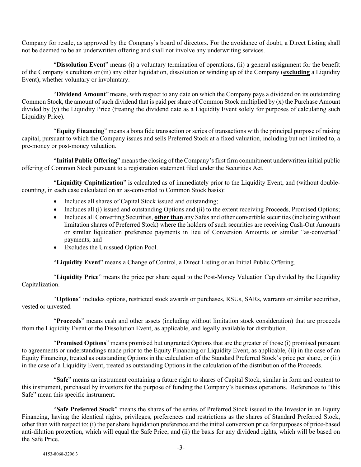Company for resale, as approved by the Company's board of directors. For the avoidance of doubt, a Direct Listing shall not be deemed to be an underwritten offering and shall not involve any underwriting services.

"**Dissolution Event**" means (i) a voluntary termination of operations, (ii) a general assignment for the benefit of the Company's creditors or (iii) any other liquidation, dissolution or winding up of the Company (**excluding** a Liquidity Event), whether voluntary or involuntary.

"**Dividend Amount**" means, with respect to any date on which the Company pays a dividend on its outstanding Common Stock, the amount of such dividend that is paid per share of Common Stock multiplied by (x) the Purchase Amount divided by (y) the Liquidity Price (treating the dividend date as a Liquidity Event solely for purposes of calculating such Liquidity Price).

"**Equity Financing**" means a bona fide transaction or series of transactions with the principal purpose of raising capital, pursuant to which the Company issues and sells Preferred Stock at a fixed valuation, including but not limited to, a pre-money or post-money valuation.

"**Initial Public Offering**" means the closing of the Company's first firm commitment underwritten initial public offering of Common Stock pursuant to a registration statement filed under the Securities Act.

"**Liquidity Capitalization**" is calculated as of immediately prior to the Liquidity Event, and (without doublecounting, in each case calculated on an as-converted to Common Stock basis):

- Includes all shares of Capital Stock issued and outstanding;
- Includes all (i) issued and outstanding Options and (ii) to the extent receiving Proceeds, Promised Options;
- Includes all Converting Securities, **other than** any Safes and other convertible securities (including without limitation shares of Preferred Stock) where the holders of such securities are receiving Cash-Out Amounts or similar liquidation preference payments in lieu of Conversion Amounts or similar "as-converted" payments; and
- Excludes the Unissued Option Pool.

"**Liquidity Event**" means a Change of Control, a Direct Listing or an Initial Public Offering.

"**Liquidity Price**" means the price per share equal to the Post-Money Valuation Cap divided by the Liquidity Capitalization.

"**Options**" includes options, restricted stock awards or purchases, RSUs, SARs, warrants or similar securities, vested or unvested.

"**Proceeds**" means cash and other assets (including without limitation stock consideration) that are proceeds from the Liquidity Event or the Dissolution Event, as applicable, and legally available for distribution.

"**Promised Options**" means promised but ungranted Options that are the greater of those (i) promised pursuant to agreements or understandings made prior to the Equity Financing or Liquidity Event, as applicable, (ii) in the case of an Equity Financing, treated as outstanding Options in the calculation of the Standard Preferred Stock's price per share, or (iii) in the case of a Liquidity Event, treated as outstanding Options in the calculation of the distribution of the Proceeds.

"**Safe**" means an instrument containing a future right to shares of Capital Stock, similar in form and content to this instrument, purchased by investors for the purpose of funding the Company's business operations. References to "this Safe" mean this specific instrument.

"**Safe Preferred Stock**" means the shares of the series of Preferred Stock issued to the Investor in an Equity Financing, having the identical rights, privileges, preferences and restrictions as the shares of Standard Preferred Stock, other than with respect to: (i) the per share liquidation preference and the initial conversion price for purposes of price-based anti-dilution protection, which will equal the Safe Price; and (ii) the basis for any dividend rights, which will be based on the Safe Price.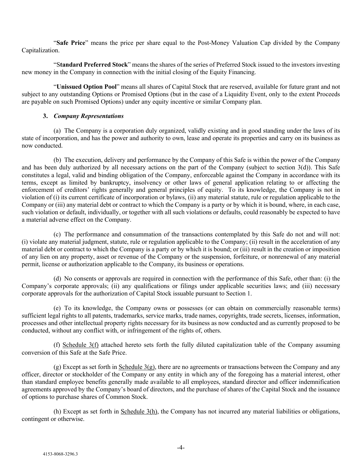"**Safe Price**" means the price per share equal to the Post-Money Valuation Cap divided by the Company Capitalization.

"S**tandard Preferred Stock**" means the shares of the series of Preferred Stock issued to the investors investing new money in the Company in connection with the initial closing of the Equity Financing.

"**Unissued Option Pool**" means all shares of Capital Stock that are reserved, available for future grant and not subject to any outstanding Options or Promised Options (but in the case of a Liquidity Event, only to the extent Proceeds are payable on such Promised Options) under any equity incentive or similar Company plan.

#### **3.** *Company Representations*

(a) The Company is a corporation duly organized, validly existing and in good standing under the laws of its state of incorporation, and has the power and authority to own, lease and operate its properties and carry on its business as now conducted.

(b) The execution, delivery and performance by the Company of this Safe is within the power of the Company and has been duly authorized by all necessary actions on the part of the Company (subject to section  $3(d)$ ). This Safe constitutes a legal, valid and binding obligation of the Company, enforceable against the Company in accordance with its terms, except as limited by bankruptcy, insolvency or other laws of general application relating to or affecting the enforcement of creditors' rights generally and general principles of equity. To its knowledge, the Company is not in violation of (i) its current certificate of incorporation or bylaws, (ii) any material statute, rule or regulation applicable to the Company or (iii) any material debt or contract to which the Company is a party or by which it is bound, where, in each case, such violation or default, individually, or together with all such violations or defaults, could reasonably be expected to have a material adverse effect on the Company.

(c) The performance and consummation of the transactions contemplated by this Safe do not and will not: (i) violate any material judgment, statute, rule or regulation applicable to the Company; (ii) result in the acceleration of any material debt or contract to which the Company is a party or by which it is bound; or (iii) result in the creation or imposition of any lien on any property, asset or revenue of the Company or the suspension, forfeiture, or nonrenewal of any material permit, license or authorization applicable to the Company, its business or operations.

(d) No consents or approvals are required in connection with the performance of this Safe, other than: (i) the Company's corporate approvals; (ii) any qualifications or filings under applicable securities laws; and (iii) necessary corporate approvals for the authorization of Capital Stock issuable pursuant to Section 1.

(e) To its knowledge, the Company owns or possesses (or can obtain on commercially reasonable terms) sufficient legal rights to all patents, trademarks, service marks, trade names, copyrights, trade secrets, licenses, information, processes and other intellectual property rights necessary for its business as now conducted and as currently proposed to be conducted, without any conflict with, or infringement of the rights of, others.

(f) Schedule 3(f) attached hereto sets forth the fully diluted capitalization table of the Company assuming conversion of this Safe at the Safe Price.

 $(g)$  Except as set forth in Schedule 3(g), there are no agreements or transactions between the Company and any officer, director or stockholder of the Company or any entity in which any of the foregoing has a material interest, other than standard employee benefits generally made available to all employees, standard director and officer indemnification agreements approved by the Company's board of directors, and the purchase of shares of the Capital Stock and the issuance of options to purchase shares of Common Stock.

(h) Except as set forth in Schedule 3(h), the Company has not incurred any material liabilities or obligations, contingent or otherwise.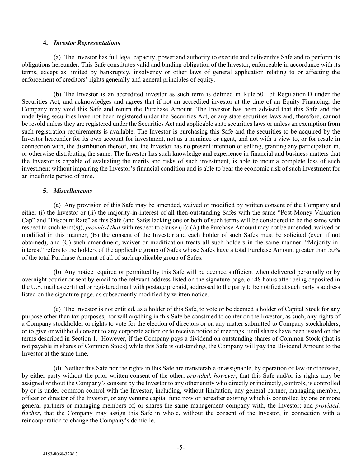#### **4.** *Investor Representations*

(a) The Investor has full legal capacity, power and authority to execute and deliver this Safe and to perform its obligations hereunder. This Safe constitutes valid and binding obligation of the Investor, enforceable in accordance with its terms, except as limited by bankruptcy, insolvency or other laws of general application relating to or affecting the enforcement of creditors' rights generally and general principles of equity.

(b) The Investor is an accredited investor as such term is defined in Rule 501 of Regulation D under the Securities Act, and acknowledges and agrees that if not an accredited investor at the time of an Equity Financing, the Company may void this Safe and return the Purchase Amount. The Investor has been advised that this Safe and the underlying securities have not been registered under the Securities Act, or any state securities laws and, therefore, cannot be resold unless they are registered under the Securities Act and applicable state securities laws or unless an exemption from such registration requirements is available. The Investor is purchasing this Safe and the securities to be acquired by the Investor hereunder for its own account for investment, not as a nominee or agent, and not with a view to, or for resale in connection with, the distribution thereof, and the Investor has no present intention of selling, granting any participation in, or otherwise distributing the same. The Investor has such knowledge and experience in financial and business matters that the Investor is capable of evaluating the merits and risks of such investment, is able to incur a complete loss of such investment without impairing the Investor's financial condition and is able to bear the economic risk of such investment for an indefinite period of time.

#### **5.** *Miscellaneous*

(a) Any provision of this Safe may be amended, waived or modified by written consent of the Company and either (i) the Investor or (ii) the majority-in-interest of all then-outstanding Safes with the same "Post-Money Valuation Cap" and "Discount Rate" as this Safe (and Safes lacking one or both of such terms will be considered to be the same with respect to such term(s)), *provided that* with respect to clause (ii): (A) the Purchase Amount may not be amended, waived or modified in this manner, (B) the consent of the Investor and each holder of such Safes must be solicited (even if not obtained), and (C) such amendment, waiver or modification treats all such holders in the same manner. "Majority-ininterest" refers to the holders of the applicable group of Safes whose Safes have a total Purchase Amount greater than 50% of the total Purchase Amount of all of such applicable group of Safes.

(b) Any notice required or permitted by this Safe will be deemed sufficient when delivered personally or by overnight courier or sent by email to the relevant address listed on the signature page, or 48 hours after being deposited in the U.S. mail as certified or registered mail with postage prepaid, addressed to the party to be notified at such party's address listed on the signature page, as subsequently modified by written notice.

(c) The Investor is not entitled, as a holder of this Safe, to vote or be deemed a holder of Capital Stock for any purpose other than tax purposes, nor will anything in this Safe be construed to confer on the Investor, as such, any rights of a Company stockholder or rights to vote for the election of directors or on any matter submitted to Company stockholders, or to give or withhold consent to any corporate action or to receive notice of meetings, until shares have been issued on the terms described in Section 1. However, if the Company pays a dividend on outstanding shares of Common Stock (that is not payable in shares of Common Stock) while this Safe is outstanding, the Company will pay the Dividend Amount to the Investor at the same time.

(d) Neither this Safe nor the rights in this Safe are transferable or assignable, by operation of law or otherwise, by either party without the prior written consent of the other; *provided, however*, that this Safe and/or its rights may be assigned without the Company's consent by the Investor to any other entity who directly or indirectly, controls, is controlled by or is under common control with the Investor, including, without limitation, any general partner, managing member, officer or director of the Investor, or any venture capital fund now or hereafter existing which is controlled by one or more general partners or managing members of, or shares the same management company with, the Investor; and *provided, further*, that the Company may assign this Safe in whole, without the consent of the Investor, in connection with a reincorporation to change the Company's domicile.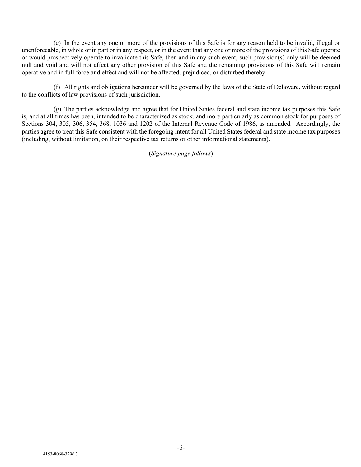(e) In the event any one or more of the provisions of this Safe is for any reason held to be invalid, illegal or unenforceable, in whole or in part or in any respect, or in the event that any one or more of the provisions of this Safe operate or would prospectively operate to invalidate this Safe, then and in any such event, such provision(s) only will be deemed null and void and will not affect any other provision of this Safe and the remaining provisions of this Safe will remain operative and in full force and effect and will not be affected, prejudiced, or disturbed thereby.

(f) All rights and obligations hereunder will be governed by the laws of the State of Delaware, without regard to the conflicts of law provisions of such jurisdiction.

(g) The parties acknowledge and agree that for United States federal and state income tax purposes this Safe is, and at all times has been, intended to be characterized as stock, and more particularly as common stock for purposes of Sections 304, 305, 306, 354, 368, 1036 and 1202 of the Internal Revenue Code of 1986, as amended. Accordingly, the parties agree to treat this Safe consistent with the foregoing intent for all United States federal and state income tax purposes (including, without limitation, on their respective tax returns or other informational statements).

(*Signature page follows*)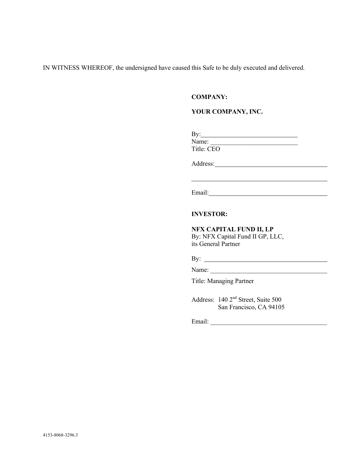IN WITNESS WHEREOF, the undersigned have caused this Safe to be duly executed and delivered.

#### **COMPANY:**

#### **YOUR COMPANY, INC.**

| By:        |  |
|------------|--|
| Name:      |  |
| Title: CEO |  |

Address: No. 1998. The Contract of the Contract of the Contract of the Contract of the Contract of the Contract of the Contract of the Contract of the Contract of the Contract of the Contract of the Contract of the Contrac

Email:

## **INVESTOR:**

#### **NFX CAPITAL FUND II, LP** By: NFX Capital Fund II GP, LLC,

its General Partner

By:  $\qquad \qquad$ 

Name:

Title: Managing Partner

Address: 140 2nd Street, Suite 500 San Francisco, CA 94105

Email: \_\_\_\_\_\_\_\_\_\_\_\_\_\_\_\_\_\_\_\_\_\_\_\_\_\_\_\_\_\_\_\_\_\_\_\_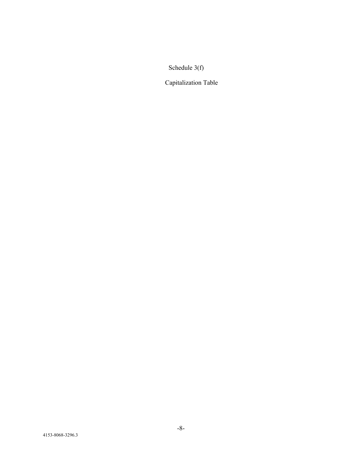Schedule 3(f)

Capitalization Table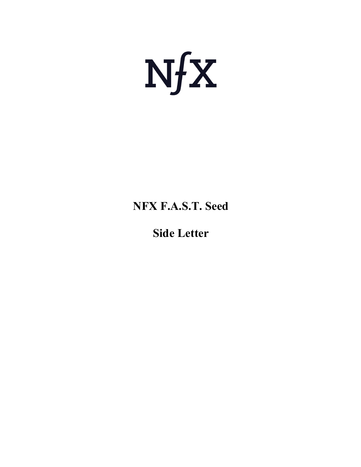

# **NFX F.A.S.T. Seed**

**Side Letter**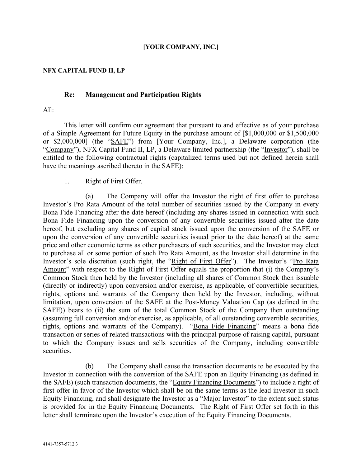### **[YOUR COMPANY, INC.]**

## **NFX CAPITAL FUND II, LP**

#### **Re: Management and Participation Rights**

All:

This letter will confirm our agreement that pursuant to and effective as of your purchase of a Simple Agreement for Future Equity in the purchase amount of [\$1,000,000 or \$1,500,000 or \$2,000,000] (the "SAFE") from [Your Company, Inc.], a Delaware corporation (the "Company"), NFX Capital Fund II, LP, a Delaware limited partnership (the "Investor"), shall be entitled to the following contractual rights (capitalized terms used but not defined herein shall have the meanings ascribed thereto in the SAFE):

### 1. Right of First Offer.

(a) The Company will offer the Investor the right of first offer to purchase Investor's Pro Rata Amount of the total number of securities issued by the Company in every Bona Fide Financing after the date hereof (including any shares issued in connection with such Bona Fide Financing upon the conversion of any convertible securities issued after the date hereof, but excluding any shares of capital stock issued upon the conversion of the SAFE or upon the conversion of any convertible securities issued prior to the date hereof) at the same price and other economic terms as other purchasers of such securities, and the Investor may elect to purchase all or some portion of such Pro Rata Amount, as the Investor shall determine in the Investor's sole discretion (such right, the "Right of First Offer"). The Investor's "Pro Rata Amount" with respect to the Right of First Offer equals the proportion that (i) the Company's Common Stock then held by the Investor (including all shares of Common Stock then issuable (directly or indirectly) upon conversion and/or exercise, as applicable, of convertible securities, rights, options and warrants of the Company then held by the Investor, including, without limitation, upon conversion of the SAFE at the Post-Money Valuation Cap (as defined in the SAFE)) bears to (ii) the sum of the total Common Stock of the Company then outstanding (assuming full conversion and/or exercise, as applicable, of all outstanding convertible securities, rights, options and warrants of the Company). "Bona Fide Financing" means a bona fide transaction or series of related transactions with the principal purpose of raising capital, pursuant to which the Company issues and sells securities of the Company, including convertible securities.

(b) The Company shall cause the transaction documents to be executed by the Investor in connection with the conversion of the SAFE upon an Equity Financing (as defined in the SAFE) (such transaction documents, the "Equity Financing Documents") to include a right of first offer in favor of the Investor which shall be on the same terms as the lead investor in such Equity Financing, and shall designate the Investor as a "Major Investor" to the extent such status is provided for in the Equity Financing Documents. The Right of First Offer set forth in this letter shall terminate upon the Investor's execution of the Equity Financing Documents.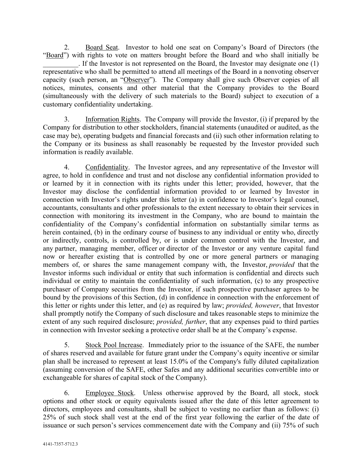2. Board Seat. Investor to hold one seat on Company's Board of Directors (the "Board") with rights to vote on matters brought before the Board and who shall initially be . If the Investor is not represented on the Board, the Investor may designate one (1) representative who shall be permitted to attend all meetings of the Board in a nonvoting observer capacity (such person, an "Observer"). The Company shall give such Observer copies of all notices, minutes, consents and other material that the Company provides to the Board (simultaneously with the delivery of such materials to the Board) subject to execution of a customary confidentiality undertaking.

3. Information Rights. The Company will provide the Investor, (i) if prepared by the Company for distribution to other stockholders, financial statements (unaudited or audited, as the case may be), operating budgets and financial forecasts and (ii) such other information relating to the Company or its business as shall reasonably be requested by the Investor provided such information is readily available.

4. Confidentiality. The Investor agrees, and any representative of the Investor will agree, to hold in confidence and trust and not disclose any confidential information provided to or learned by it in connection with its rights under this letter; provided, however, that the Investor may disclose the confidential information provided to or learned by Investor in connection with Investor's rights under this letter (a) in confidence to Investor's legal counsel, accountants, consultants and other professionals to the extent necessary to obtain their services in connection with monitoring its investment in the Company, who are bound to maintain the confidentiality of the Company's confidential information on substantially similar terms as herein contained, (b) in the ordinary course of business to any individual or entity who, directly or indirectly, controls, is controlled by, or is under common control with the Investor, and any partner, managing member, officer or director of the Investor or any venture capital fund now or hereafter existing that is controlled by one or more general partners or managing members of, or shares the same management company with, the Investor, *provided* that the Investor informs such individual or entity that such information is confidential and directs such individual or entity to maintain the confidentiality of such information, (c) to any prospective purchaser of Company securities from the Investor, if such prospective purchaser agrees to be bound by the provisions of this Section, (d) in confidence in connection with the enforcement of this letter or rights under this letter, and (e) as required by law; *provided, however*, that Investor shall promptly notify the Company of such disclosure and takes reasonable steps to minimize the extent of any such required disclosure; *provided, further*, that any expenses paid to third parties in connection with Investor seeking a protective order shall be at the Company's expense.

5. Stock Pool Increase. Immediately prior to the issuance of the SAFE, the number of shares reserved and available for future grant under the Company's equity incentive or similar plan shall be increased to represent at least 15.0% of the Company's fully diluted capitalization (assuming conversion of the SAFE, other Safes and any additional securities convertible into or exchangeable for shares of capital stock of the Company).

6. Employee Stock. Unless otherwise approved by the Board, all stock, stock options and other stock or equity equivalents issued after the date of this letter agreement to directors, employees and consultants, shall be subject to vesting no earlier than as follows: (i) 25% of such stock shall vest at the end of the first year following the earlier of the date of issuance or such person's services commencement date with the Company and (ii) 75% of such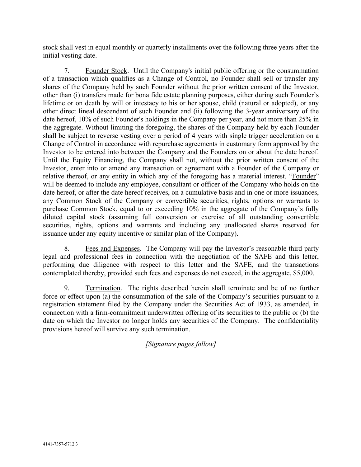stock shall vest in equal monthly or quarterly installments over the following three years after the initial vesting date.

7. Founder Stock. Until the Company's initial public offering or the consummation of a transaction which qualifies as a Change of Control, no Founder shall sell or transfer any shares of the Company held by such Founder without the prior written consent of the Investor, other than (i) transfers made for bona fide estate planning purposes, either during such Founder's lifetime or on death by will or intestacy to his or her spouse, child (natural or adopted), or any other direct lineal descendant of such Founder and (ii) following the 3-year anniversary of the date hereof, 10% of such Founder's holdings in the Company per year, and not more than 25% in the aggregate. Without limiting the foregoing, the shares of the Company held by each Founder shall be subject to reverse vesting over a period of 4 years with single trigger acceleration on a Change of Control in accordance with repurchase agreements in customary form approved by the Investor to be entered into between the Company and the Founders on or about the date hereof. Until the Equity Financing, the Company shall not, without the prior written consent of the Investor, enter into or amend any transaction or agreement with a Founder of the Company or relative thereof, or any entity in which any of the foregoing has a material interest. "Founder" will be deemed to include any employee, consultant or officer of the Company who holds on the date hereof, or after the date hereof receives, on a cumulative basis and in one or more issuances, any Common Stock of the Company or convertible securities, rights, options or warrants to purchase Common Stock, equal to or exceeding 10% in the aggregate of the Company's fully diluted capital stock (assuming full conversion or exercise of all outstanding convertible securities, rights, options and warrants and including any unallocated shares reserved for issuance under any equity incentive or similar plan of the Company).

8. Fees and Expenses. The Company will pay the Investor's reasonable third party legal and professional fees in connection with the negotiation of the SAFE and this letter, performing due diligence with respect to this letter and the SAFE, and the transactions contemplated thereby, provided such fees and expenses do not exceed, in the aggregate, \$5,000.

9. Termination. The rights described herein shall terminate and be of no further force or effect upon (a) the consummation of the sale of the Company's securities pursuant to a registration statement filed by the Company under the Securities Act of 1933, as amended, in connection with a firm-commitment underwritten offering of its securities to the public or (b) the date on which the Investor no longer holds any securities of the Company. The confidentiality provisions hereof will survive any such termination.

*[Signature pages follow]*